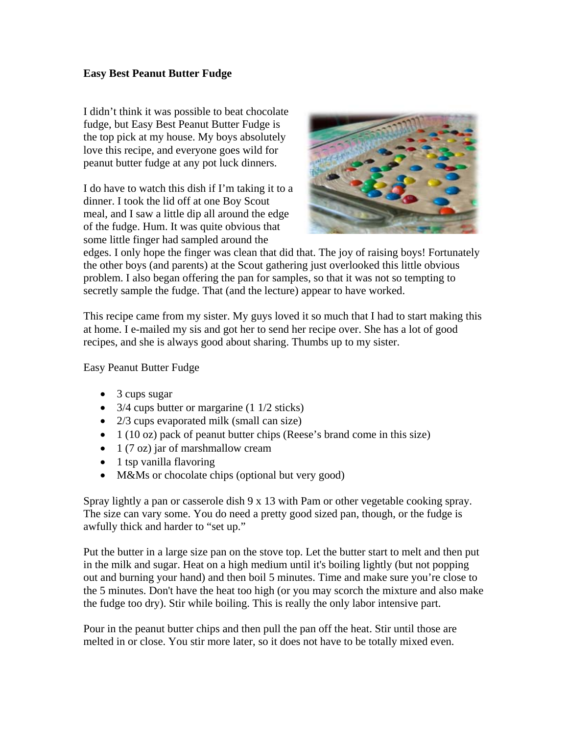## **Easy Best Peanut Butter Fudge**

I didn't think it was possible to beat chocolate fudge, but Easy Best Peanut Butter Fudge is the top pick at my house. My boys absolutely love this recipe, and everyone goes wild for peanut butter fudge at any pot luck dinners.

I do have to watch this dish if I'm taking it to a dinner. I took the lid off at one Boy Scout meal, and I saw a little dip all around the edge of the fudge. Hum. It was quite obvious that some little finger had sampled around the



edges. I only hope the finger was clean that did that. The joy of raising boys! Fortunately the other boys (and parents) at the Scout gathering just overlooked this little obvious problem. I also began offering the pan for samples, so that it was not so tempting to secretly sample the fudge. That (and the lecture) appear to have worked.

This recipe came from my sister. My guys loved it so much that I had to start making this at home. I e-mailed my sis and got her to send her recipe over. She has a lot of good recipes, and she is always good about sharing. Thumbs up to my sister.

Easy Peanut Butter Fudge

- 3 cups sugar
- 3/4 cups butter or margarine (1 1/2 sticks)
- 2/3 cups evaporated milk (small can size)
- $\bullet$  1 (10 oz) pack of peanut butter chips (Reese's brand come in this size)
- 1 (7 oz) jar of marshmallow cream
- 1 tsp vanilla flavoring
- M&Ms or chocolate chips (optional but very good)

Spray lightly a pan or casserole dish 9 x 13 with Pam or other vegetable cooking spray. The size can vary some. You do need a pretty good sized pan, though, or the fudge is awfully thick and harder to "set up."

Put the butter in a large size pan on the stove top. Let the butter start to melt and then put in the milk and sugar. Heat on a high medium until it's boiling lightly (but not popping out and burning your hand) and then boil 5 minutes. Time and make sure you're close to the 5 minutes. Don't have the heat too high (or you may scorch the mixture and also make the fudge too dry). Stir while boiling. This is really the only labor intensive part.

Pour in the peanut butter chips and then pull the pan off the heat. Stir until those are melted in or close. You stir more later, so it does not have to be totally mixed even.